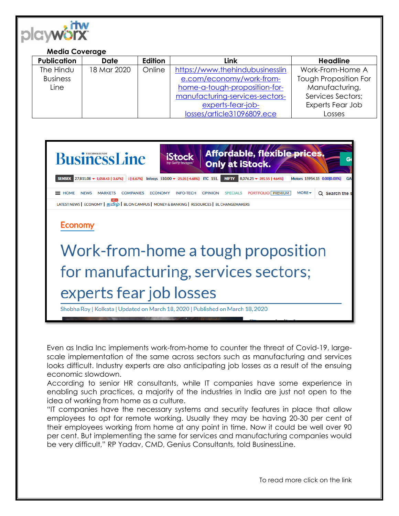

## **Media Coverage**

| <b>Publication</b> | <b>Date</b> | Edition | Link                            | <b>Headline</b>              |
|--------------------|-------------|---------|---------------------------------|------------------------------|
| The Hindu          | 18 Mar 2020 | Online  | https://www.thehindubusinesslin | Work-From-Home A             |
| <b>Business</b>    |             |         | e.com/economy/work-from-        | <b>Tough Proposition For</b> |
| Line               |             |         | home-a-tough-proposition-for-   | Manufacturing,               |
|                    |             |         | manufacturing-services-sectors- | Services Sectors;            |
|                    |             |         | experts-fear-job-               | Experts Fear Job             |
|                    |             |         | losses/article31096809.ece      | Losses                       |



Even as India Inc implements work-from-home to counter the threat of Covid-19, largescale implementation of the same across sectors such as manufacturing and services looks difficult. Industry experts are also anticipating job losses as a result of the ensuing economic slowdown.

According to senior HR consultants, while IT companies have some experience in enabling such practices, a majority of the industries in India are just not open to the idea of working from home as a culture.

"IT companies have the necessary systems and security features in place that allow employees to opt for remote working. Usually they may be having 20-30 per cent of their employees working from home at any point in time. Now it could be well over 90 per cent. But implementing the same for services and manufacturing companies would be very difficult," RP Yadav, CMD, Genius Consultants, told BusinessLine.

To read more click on the link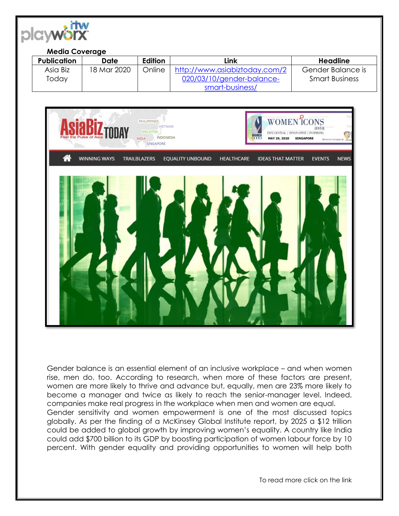

## **Media Coverage**

| Publication | Date        | Edition | Link                          | Headline              |
|-------------|-------------|---------|-------------------------------|-----------------------|
| Asia Biz    | 18 Mar 2020 | Online  | http://www.asiabiztoday.com/2 | Gender Balance is     |
| Today       |             |         | 020/03/10/gender-balance-     | <b>Smart Business</b> |
|             |             |         | smart-business/               |                       |



Gender balance is an essential element of an inclusive workplace – and when women rise, men do, too. According to research, when more of these factors are present, women are more likely to thrive and advance but, equally, men are 23% more likely to become a manager and twice as likely to reach the senior-manager level. Indeed, companies make real progress in the workplace when men and women are equal. Gender sensitivity and women empowerment is one of the most discussed topics globally. As per the finding of a McKinsey Global Institute report, by 2025 a \$12 trillion could be added to global growth by improving women's equality. A country like India could add \$700 billion to its GDP by boosting participation of women labour force by 10 percent. With gender equality and providing opportunities to women will help both

To read more click on the link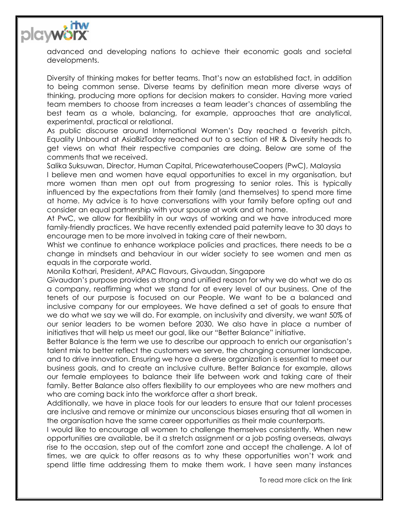

advanced and developing nations to achieve their economic goals and societal developments.

Diversity of thinking makes for better teams. That's now an established fact, in addition to being common sense. Diverse teams by definition mean more diverse ways of thinking, producing more options for decision makers to consider. Having more varied team members to choose from increases a team leader's chances of assembling the best team as a whole, balancing, for example, approaches that are analytical, experimental, practical or relational.

As public discourse around International Women's Day reached a feverish pitch, Equality Unbound at AsiaBizToday reached out to a section of HR & Diversity heads to get views on what their respective companies are doing. Below are some of the comments that we received.

Salika Suksuwan, Director, Human Capital, PricewaterhouseCoopers (PwC), Malaysia

I believe men and women have equal opportunities to excel in my organisation, but more women than men opt out from progressing to senior roles. This is typically influenced by the expectations from their family (and themselves) to spend more time at home. My advice is to have conversations with your family before opting out and consider an equal partnership with your spouse at work and at home.

At PwC, we allow for flexibility in our ways of working and we have introduced more family-friendly practices. We have recently extended paid paternity leave to 30 days to encourage men to be more involved in taking care of their newborn.

Whist we continue to enhance workplace policies and practices, there needs to be a change in mindsets and behaviour in our wider society to see women and men as equals in the corporate world.

Monila Kothari, President, APAC Flavours, Givaudan, Singapore

Givaudan's purpose provides a strong and unified reason for why we do what we do as a company, reaffirming what we stand for at every level of our business. One of the tenets of our purpose is focused on our People. We want to be a balanced and inclusive company for our employees. We have defined a set of goals to ensure that we do what we say we will do. For example, on inclusivity and diversity, we want 50% of our senior leaders to be women before 2030. We also have in place a number of initiatives that will help us meet our goal, like our "Better Balance" initiative.

Better Balance is the term we use to describe our approach to enrich our organisation's talent mix to better reflect the customers we serve, the changing consumer landscape, and to drive innovation. Ensuring we have a diverse organization is essential to meet our business goals, and to create an inclusive culture. Better Balance for example, allows our female employees to balance their life between work and taking care of their family. Better Balance also offers flexibility to our employees who are new mothers and who are coming back into the workforce after a short break.

Additionally, we have in place tools for our leaders to ensure that our talent processes are inclusive and remove or minimize our unconscious biases ensuring that all women in the organisation have the same career opportunities as their male counterparts.

I would like to encourage all women to challenge themselves consistently. When new opportunities are available, be it a stretch assignment or a job posting overseas, always rise to the occasion, step out of the comfort zone and accept the challenge. A lot of times, we are quick to offer reasons as to why these opportunities won't work and spend little time addressing them to make them work. I have seen many instances

To read more click on the link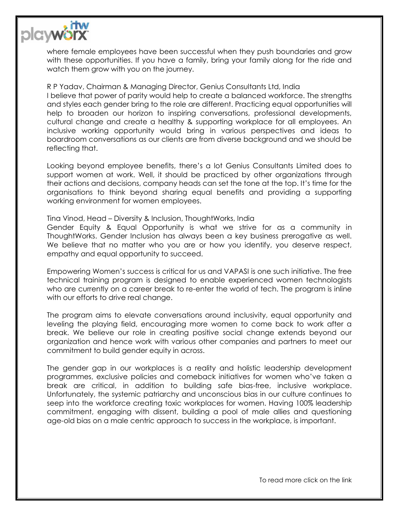

where female employees have been successful when they push boundaries and grow with these opportunities. If you have a family, bring your family along for the ride and watch them grow with you on the journey.

R P Yadav, Chairman & Managing Director, Genius Consultants Ltd, India I believe that power of parity would help to create a balanced workforce. The strengths and styles each gender bring to the role are different. Practicing equal opportunities will help to broaden our horizon to inspiring conversations, professional developments, cultural change and create a healthy & supporting workplace for all employees. An inclusive working opportunity would bring in various perspectives and ideas to boardroom conversations as our clients are from diverse background and we should be reflecting that.

Looking beyond employee benefits, there's a lot Genius Consultants Limited does to support women at work. Well, it should be practiced by other organizations through their actions and decisions, company heads can set the tone at the top. It's time for the organisations to think beyond sharing equal benefits and providing a supporting working environment for women employees.

Tina Vinod, Head – Diversity & Inclusion, ThoughtWorks, India

Gender Equity & Equal Opportunity is what we strive for as a community in ThoughtWorks. Gender Inclusion has always been a key business prerogative as well. We believe that no matter who you are or how you identify, you deserve respect, empathy and equal opportunity to succeed.

Empowering Women's success is critical for us and VAPASI is one such initiative. The free technical training program is designed to enable experienced women technologists who are currently on a career break to re-enter the world of tech. The program is inline with our efforts to drive real change.

The program aims to elevate conversations around inclusivity, equal opportunity and leveling the playing field, encouraging more women to come back to work after a break. We believe our role in creating positive social change extends beyond our organization and hence work with various other companies and partners to meet our commitment to build gender equity in across.

The gender gap in our workplaces is a reality and holistic leadership development programmes, exclusive policies and comeback initiatives for women who've taken a break are critical, in addition to building safe bias-free, inclusive workplace. Unfortunately, the systemic patriarchy and unconscious bias in our culture continues to seep into the workforce creating toxic workplaces for women. Having 100% leadership commitment, engaging with dissent, building a pool of male allies and questioning age-old bias on a male centric approach to success in the workplace, is important.